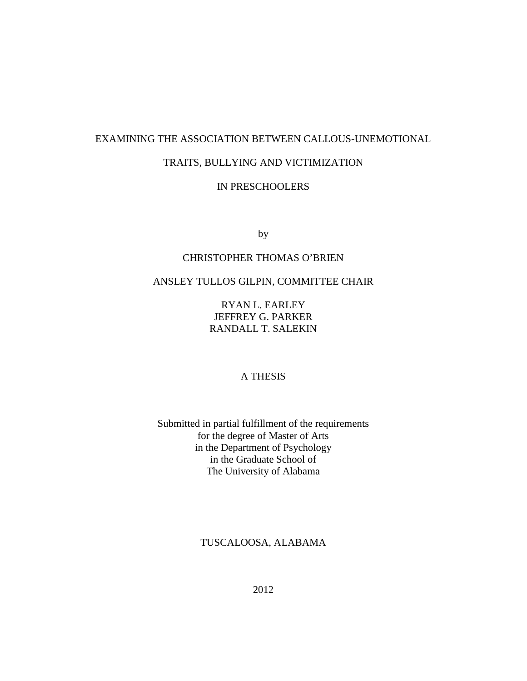# EXAMINING THE ASSOCIATION BETWEEN CALLOUS-UNEMOTIONAL

# TRAITS, BULLYING AND VICTIMIZATION

# IN PRESCHOOLERS

by

# CHRISTOPHER THOMAS O'BRIEN

# ANSLEY TULLOS GILPIN, COMMITTEE CHAIR

RYAN L. EARLEY JEFFREY G. PARKER RANDALL T. SALEKIN

## A THESIS

Submitted in partial fulfillment of the requirements for the degree of Master of Arts in the Department of Psychology in the Graduate School of The University of Alabama

TUSCALOOSA, ALABAMA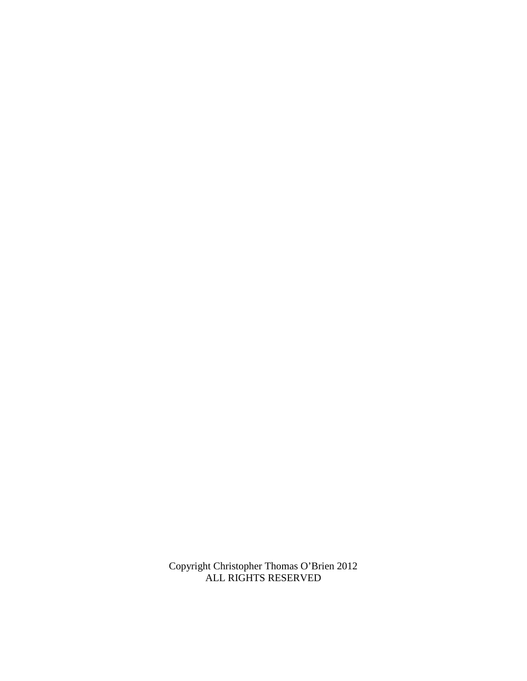Copyright Christopher Thomas O'Brien 2012 ALL RIGHTS RESERVED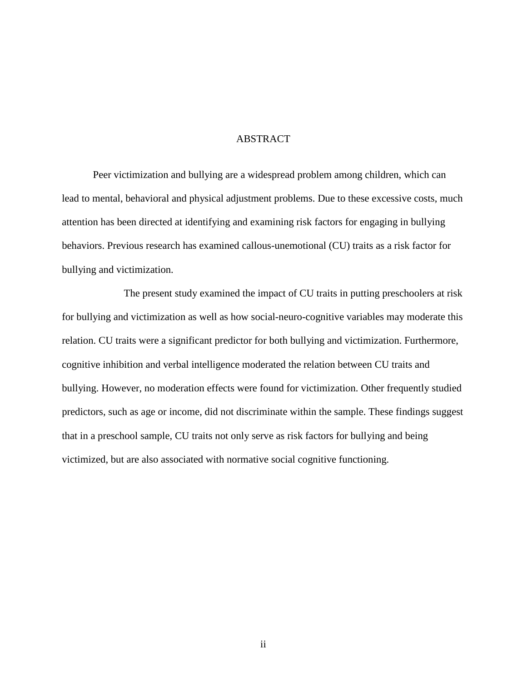#### ABSTRACT

Peer victimization and bullying are a widespread problem among children, which can lead to mental, behavioral and physical adjustment problems. Due to these excessive costs, much attention has been directed at identifying and examining risk factors for engaging in bullying behaviors. Previous research has examined callous-unemotional (CU) traits as a risk factor for bullying and victimization.

 The present study examined the impact of CU traits in putting preschoolers at risk for bullying and victimization as well as how social-neuro-cognitive variables may moderate this relation. CU traits were a significant predictor for both bullying and victimization. Furthermore, cognitive inhibition and verbal intelligence moderated the relation between CU traits and bullying. However, no moderation effects were found for victimization. Other frequently studied predictors, such as age or income, did not discriminate within the sample. These findings suggest that in a preschool sample, CU traits not only serve as risk factors for bullying and being victimized, but are also associated with normative social cognitive functioning.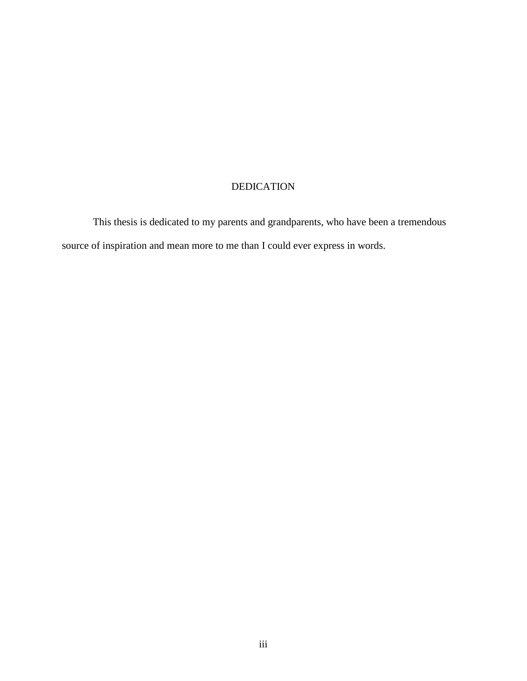# DEDICATION

This thesis is dedicated to my parents and grandparents, who have been a tremendous source of inspiration and mean more to me than I could ever express in words.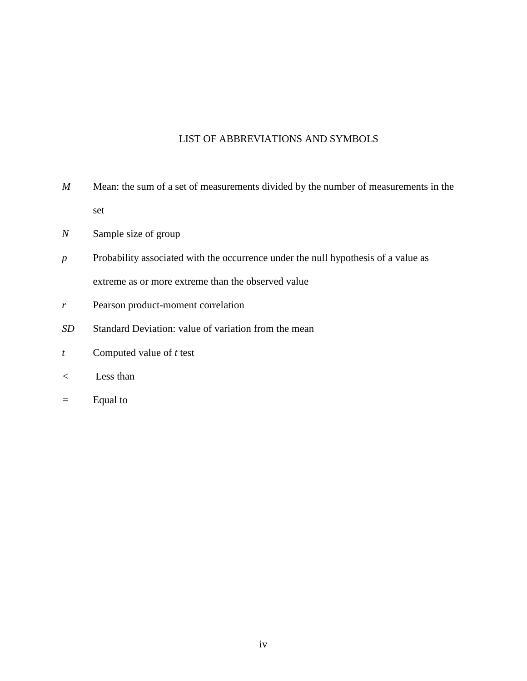# LIST OF ABBREVIATIONS AND SYMBOLS

- *M* Mean: the sum of a set of measurements divided by the number of measurements in the set
- *N* Sample size of group
- *p* Probability associated with the occurrence under the null hypothesis of a value as extreme as or more extreme than the observed value
- *r* Pearson product-moment correlation
- *SD* Standard Deviation: value of variation from the mean
- *t* Computed value of *t* test
- *<* Less than
- *=* Equal to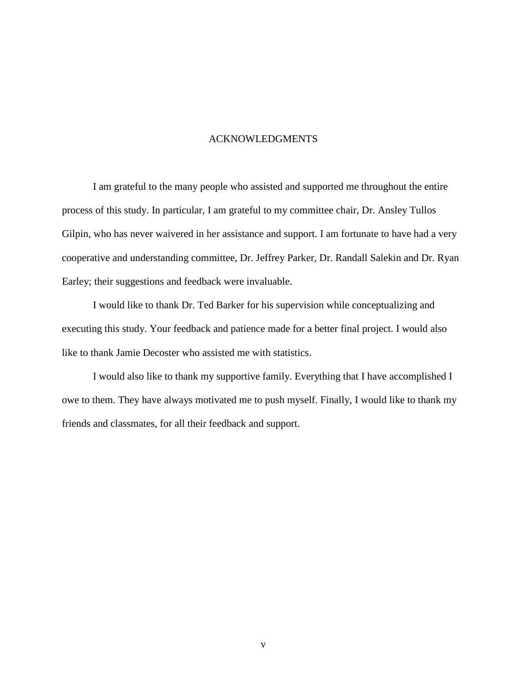### ACKNOWLEDGMENTS

I am grateful to the many people who assisted and supported me throughout the entire process of this study. In particular, I am grateful to my committee chair, Dr. Ansley Tullos Gilpin, who has never waivered in her assistance and support. I am fortunate to have had a very cooperative and understanding committee, Dr. Jeffrey Parker, Dr. Randall Salekin and Dr. Ryan Earley; their suggestions and feedback were invaluable.

I would like to thank Dr. Ted Barker for his supervision while conceptualizing and executing this study. Your feedback and patience made for a better final project. I would also like to thank Jamie Decoster who assisted me with statistics.

I would also like to thank my supportive family. Everything that I have accomplished I owe to them. They have always motivated me to push myself. Finally, I would like to thank my friends and classmates, for all their feedback and support.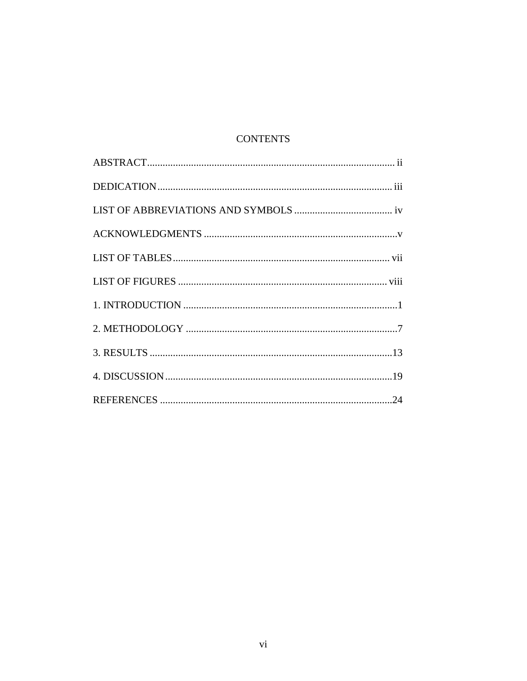# **CONTENTS**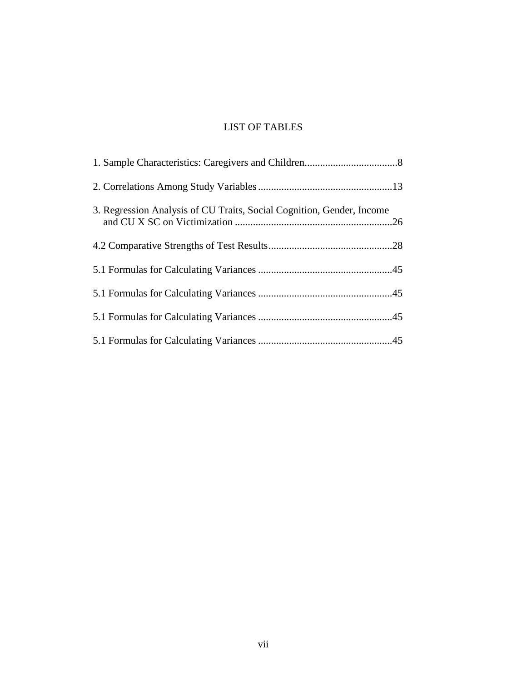# LIST OF TABLES

| 3. Regression Analysis of CU Traits, Social Cognition, Gender, Income |  |
|-----------------------------------------------------------------------|--|
|                                                                       |  |
|                                                                       |  |
|                                                                       |  |
|                                                                       |  |
|                                                                       |  |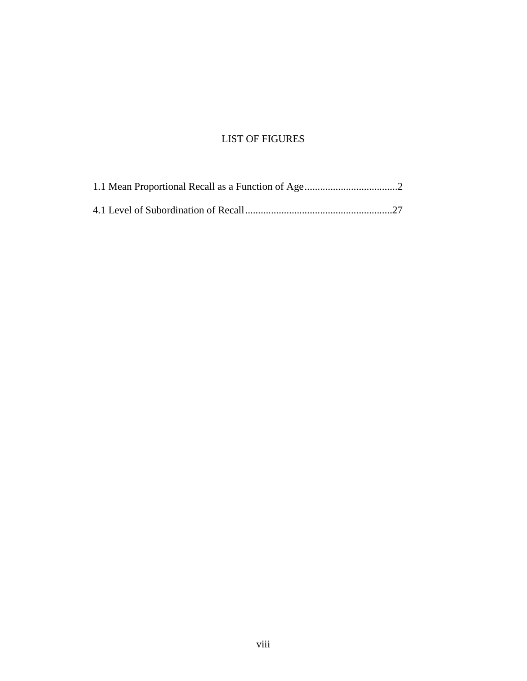# LIST OF FIGURES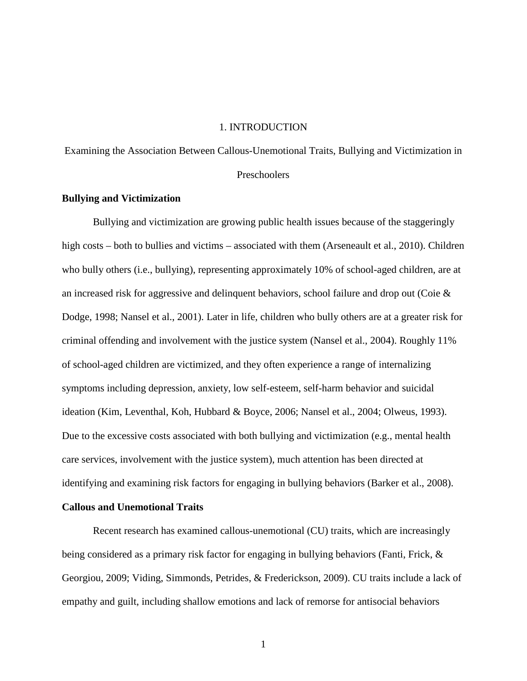#### 1. INTRODUCTION

Examining the Association Between Callous-Unemotional Traits, Bullying and Victimization in Preschoolers

### **Bullying and Victimization**

Bullying and victimization are growing public health issues because of the staggeringly high costs – both to bullies and victims – associated with them (Arseneault et al., 2010). Children who bully others (i.e., bullying), representing approximately 10% of school-aged children, are at an increased risk for aggressive and delinquent behaviors, school failure and drop out (Coie & Dodge, 1998; Nansel et al., 2001). Later in life, children who bully others are at a greater risk for criminal offending and involvement with the justice system (Nansel et al., 2004). Roughly 11% of school-aged children are victimized, and they often experience a range of internalizing symptoms including depression, anxiety, low self-esteem, self-harm behavior and suicidal ideation (Kim, Leventhal, Koh, Hubbard & Boyce, 2006; Nansel et al., 2004; Olweus, 1993). Due to the excessive costs associated with both bullying and victimization (e.g., mental health care services, involvement with the justice system), much attention has been directed at identifying and examining risk factors for engaging in bullying behaviors (Barker et al., 2008).

## **Callous and Unemotional Traits**

Recent research has examined callous-unemotional (CU) traits, which are increasingly being considered as a primary risk factor for engaging in bullying behaviors (Fanti, Frick, & Georgiou, 2009; Viding, Simmonds, Petrides, & Frederickson, 2009). CU traits include a lack of empathy and guilt, including shallow emotions and lack of remorse for antisocial behaviors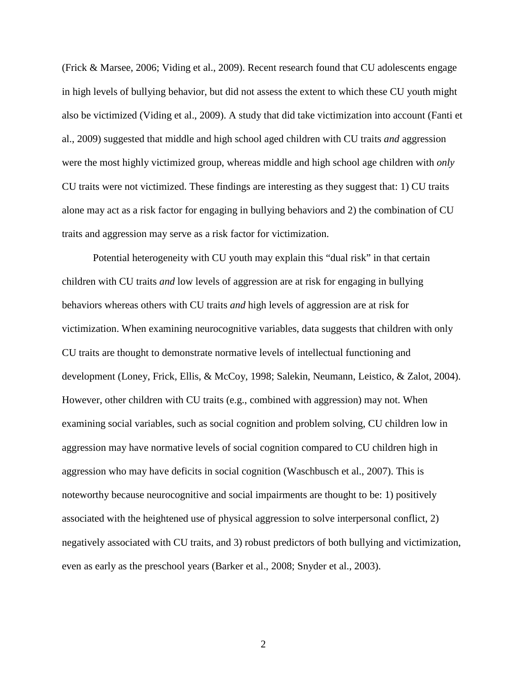(Frick & Marsee, 2006; Viding et al., 2009). Recent research found that CU adolescents engage in high levels of bullying behavior, but did not assess the extent to which these CU youth might also be victimized (Viding et al., 2009). A study that did take victimization into account (Fanti et al., 2009) suggested that middle and high school aged children with CU traits *and* aggression were the most highly victimized group, whereas middle and high school age children with *only*  CU traits were not victimized. These findings are interesting as they suggest that: 1) CU traits alone may act as a risk factor for engaging in bullying behaviors and 2) the combination of CU traits and aggression may serve as a risk factor for victimization.

 Potential heterogeneity with CU youth may explain this "dual risk" in that certain children with CU traits *and* low levels of aggression are at risk for engaging in bullying behaviors whereas others with CU traits *and* high levels of aggression are at risk for victimization. When examining neurocognitive variables, data suggests that children with only CU traits are thought to demonstrate normative levels of intellectual functioning and development (Loney, Frick, Ellis, & McCoy, 1998; Salekin, Neumann, Leistico, & Zalot, 2004). However, other children with CU traits (e.g., combined with aggression) may not. When examining social variables, such as social cognition and problem solving, CU children low in aggression may have normative levels of social cognition compared to CU children high in aggression who may have deficits in social cognition (Waschbusch et al., 2007). This is noteworthy because neurocognitive and social impairments are thought to be: 1) positively associated with the heightened use of physical aggression to solve interpersonal conflict, 2) negatively associated with CU traits, and 3) robust predictors of both bullying and victimization, even as early as the preschool years (Barker et al., 2008; Snyder et al., 2003).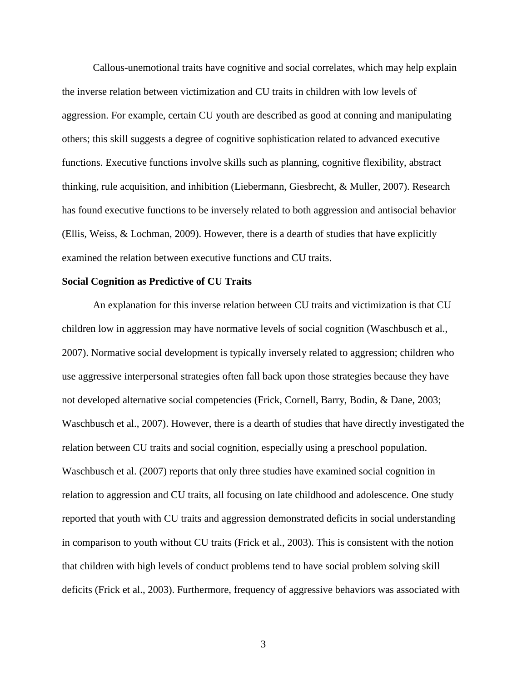Callous-unemotional traits have cognitive and social correlates, which may help explain the inverse relation between victimization and CU traits in children with low levels of aggression. For example, certain CU youth are described as good at conning and manipulating others; this skill suggests a degree of cognitive sophistication related to advanced executive functions. Executive functions involve skills such as planning, cognitive flexibility, abstract thinking, rule acquisition, and inhibition (Liebermann, Giesbrecht, & Muller, 2007). Research has found executive functions to be inversely related to both aggression and antisocial behavior (Ellis, Weiss, & Lochman, 2009). However, there is a dearth of studies that have explicitly examined the relation between executive functions and CU traits.

#### **Social Cognition as Predictive of CU Traits**

An explanation for this inverse relation between CU traits and victimization is that CU children low in aggression may have normative levels of social cognition (Waschbusch et al., 2007). Normative social development is typically inversely related to aggression; children who use aggressive interpersonal strategies often fall back upon those strategies because they have not developed alternative social competencies (Frick, Cornell, Barry, Bodin, & Dane, 2003; Waschbusch et al., 2007). However, there is a dearth of studies that have directly investigated the relation between CU traits and social cognition, especially using a preschool population. Waschbusch et al. (2007) reports that only three studies have examined social cognition in relation to aggression and CU traits, all focusing on late childhood and adolescence. One study reported that youth with CU traits and aggression demonstrated deficits in social understanding in comparison to youth without CU traits (Frick et al., 2003). This is consistent with the notion that children with high levels of conduct problems tend to have social problem solving skill deficits (Frick et al., 2003). Furthermore, frequency of aggressive behaviors was associated with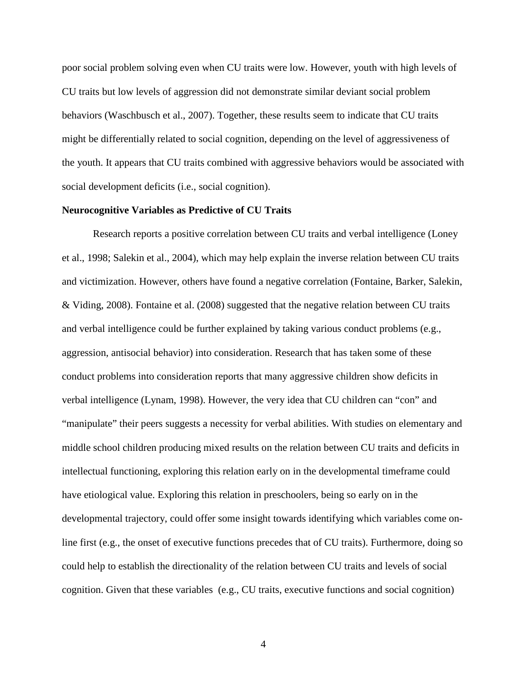poor social problem solving even when CU traits were low. However, youth with high levels of CU traits but low levels of aggression did not demonstrate similar deviant social problem behaviors (Waschbusch et al., 2007). Together, these results seem to indicate that CU traits might be differentially related to social cognition, depending on the level of aggressiveness of the youth. It appears that CU traits combined with aggressive behaviors would be associated with social development deficits (i.e., social cognition).

#### **Neurocognitive Variables as Predictive of CU Traits**

Research reports a positive correlation between CU traits and verbal intelligence (Loney et al., 1998; Salekin et al., 2004), which may help explain the inverse relation between CU traits and victimization. However, others have found a negative correlation (Fontaine, Barker, Salekin, & Viding, 2008). Fontaine et al. (2008) suggested that the negative relation between CU traits and verbal intelligence could be further explained by taking various conduct problems (e.g., aggression, antisocial behavior) into consideration. Research that has taken some of these conduct problems into consideration reports that many aggressive children show deficits in verbal intelligence (Lynam, 1998). However, the very idea that CU children can "con" and "manipulate" their peers suggests a necessity for verbal abilities. With studies on elementary and middle school children producing mixed results on the relation between CU traits and deficits in intellectual functioning, exploring this relation early on in the developmental timeframe could have etiological value. Exploring this relation in preschoolers, being so early on in the developmental trajectory, could offer some insight towards identifying which variables come online first (e.g., the onset of executive functions precedes that of CU traits). Furthermore, doing so could help to establish the directionality of the relation between CU traits and levels of social cognition. Given that these variables (e.g., CU traits, executive functions and social cognition)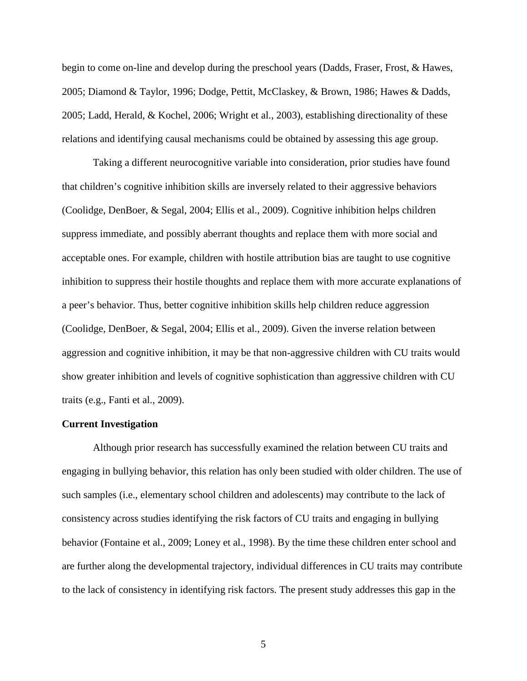begin to come on-line and develop during the preschool years (Dadds, Fraser, Frost, & Hawes, 2005; Diamond & Taylor, 1996; Dodge, Pettit, McClaskey, & Brown, 1986; Hawes & Dadds, 2005; Ladd, Herald, & Kochel, 2006; Wright et al., 2003), establishing directionality of these relations and identifying causal mechanisms could be obtained by assessing this age group.

 Taking a different neurocognitive variable into consideration, prior studies have found that children's cognitive inhibition skills are inversely related to their aggressive behaviors (Coolidge, DenBoer, & Segal, 2004; Ellis et al., 2009). Cognitive inhibition helps children suppress immediate, and possibly aberrant thoughts and replace them with more social and acceptable ones. For example, children with hostile attribution bias are taught to use cognitive inhibition to suppress their hostile thoughts and replace them with more accurate explanations of a peer's behavior. Thus, better cognitive inhibition skills help children reduce aggression (Coolidge, DenBoer, & Segal, 2004; Ellis et al., 2009). Given the inverse relation between aggression and cognitive inhibition, it may be that non-aggressive children with CU traits would show greater inhibition and levels of cognitive sophistication than aggressive children with CU traits (e.g., Fanti et al., 2009).

#### **Current Investigation**

Although prior research has successfully examined the relation between CU traits and engaging in bullying behavior, this relation has only been studied with older children. The use of such samples (i.e., elementary school children and adolescents) may contribute to the lack of consistency across studies identifying the risk factors of CU traits and engaging in bullying behavior (Fontaine et al., 2009; Loney et al., 1998). By the time these children enter school and are further along the developmental trajectory, individual differences in CU traits may contribute to the lack of consistency in identifying risk factors. The present study addresses this gap in the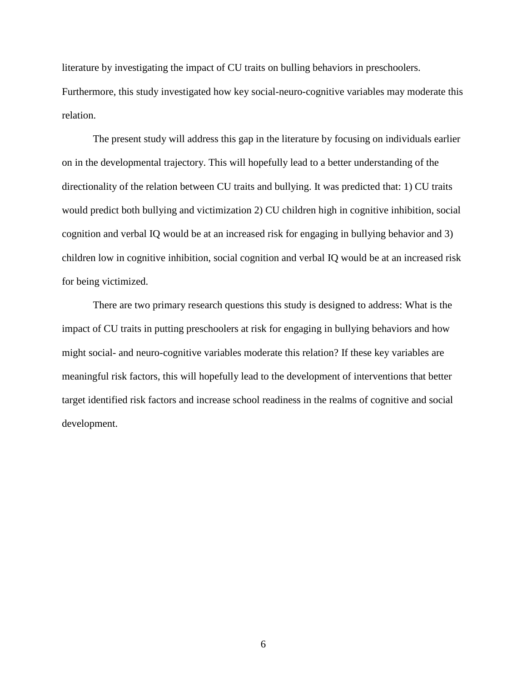literature by investigating the impact of CU traits on bulling behaviors in preschoolers. Furthermore, this study investigated how key social-neuro-cognitive variables may moderate this relation.

The present study will address this gap in the literature by focusing on individuals earlier on in the developmental trajectory. This will hopefully lead to a better understanding of the directionality of the relation between CU traits and bullying. It was predicted that: 1) CU traits would predict both bullying and victimization 2) CU children high in cognitive inhibition, social cognition and verbal IQ would be at an increased risk for engaging in bullying behavior and 3) children low in cognitive inhibition, social cognition and verbal IQ would be at an increased risk for being victimized.

There are two primary research questions this study is designed to address: What is the impact of CU traits in putting preschoolers at risk for engaging in bullying behaviors and how might social- and neuro-cognitive variables moderate this relation? If these key variables are meaningful risk factors, this will hopefully lead to the development of interventions that better target identified risk factors and increase school readiness in the realms of cognitive and social development.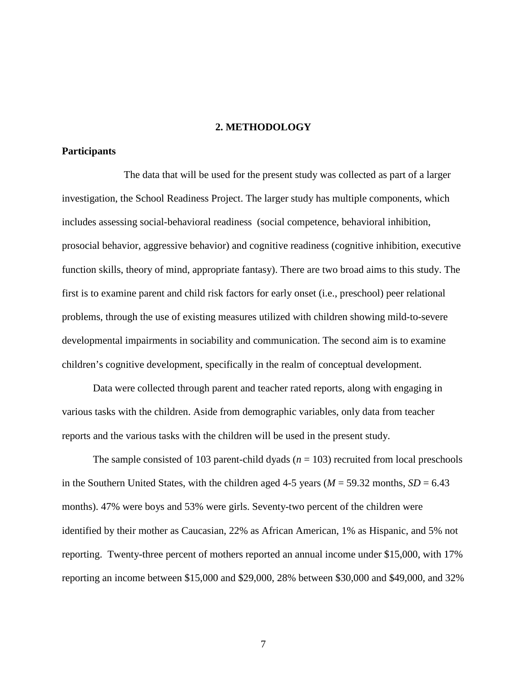### **2. METHODOLOGY**

## **Participants**

The data that will be used for the present study was collected as part of a larger investigation, the School Readiness Project. The larger study has multiple components, which includes assessing social-behavioral readiness (social competence, behavioral inhibition, prosocial behavior, aggressive behavior) and cognitive readiness (cognitive inhibition, executive function skills, theory of mind, appropriate fantasy). There are two broad aims to this study. The first is to examine parent and child risk factors for early onset (i.e., preschool) peer relational problems, through the use of existing measures utilized with children showing mild-to-severe developmental impairments in sociability and communication. The second aim is to examine children's cognitive development, specifically in the realm of conceptual development.

Data were collected through parent and teacher rated reports, along with engaging in various tasks with the children. Aside from demographic variables, only data from teacher reports and the various tasks with the children will be used in the present study.

The sample consisted of 103 parent-child dyads ( $n = 103$ ) recruited from local preschools in the Southern United States, with the children aged 4-5 years ( $M = 59.32$  months,  $SD = 6.43$ ) months). 47% were boys and 53% were girls. Seventy-two percent of the children were identified by their mother as Caucasian, 22% as African American, 1% as Hispanic, and 5% not reporting. Twenty-three percent of mothers reported an annual income under \$15,000, with 17% reporting an income between \$15,000 and \$29,000, 28% between \$30,000 and \$49,000, and 32%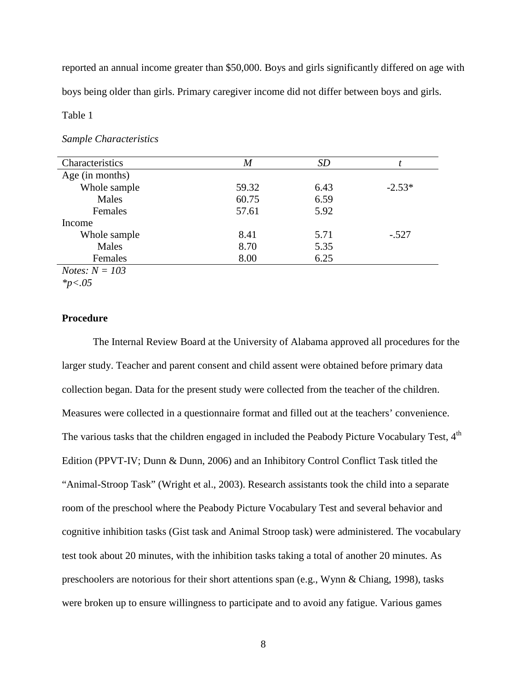reported an annual income greater than \$50,000. Boys and girls significantly differed on age with boys being older than girls. Primary caregiver income did not differ between boys and girls.

## Table 1

#### *Sample Characteristics*

| Characteristics         | $\boldsymbol{M}$ | <b>SD</b> |          |
|-------------------------|------------------|-----------|----------|
| Age (in months)         |                  |           |          |
| Whole sample            | 59.32            | 6.43      | $-2.53*$ |
| Males                   | 60.75            | 6.59      |          |
| Females                 | 57.61            | 5.92      |          |
| Income                  |                  |           |          |
| Whole sample            | 8.41             | 5.71      | $-.527$  |
| Males                   | 8.70             | 5.35      |          |
| Females                 | 8.00             | 6.25      |          |
| <i>Notes:</i> $N = 103$ |                  |           |          |

*\*p<.05* 

## **Procedure**

 The Internal Review Board at the University of Alabama approved all procedures for the larger study. Teacher and parent consent and child assent were obtained before primary data collection began. Data for the present study were collected from the teacher of the children. Measures were collected in a questionnaire format and filled out at the teachers' convenience. The various tasks that the children engaged in included the Peabody Picture Vocabulary Test, 4<sup>th</sup> Edition (PPVT-IV; Dunn & Dunn, 2006) and an Inhibitory Control Conflict Task titled the "Animal-Stroop Task" (Wright et al., 2003). Research assistants took the child into a separate room of the preschool where the Peabody Picture Vocabulary Test and several behavior and cognitive inhibition tasks (Gist task and Animal Stroop task) were administered. The vocabulary test took about 20 minutes, with the inhibition tasks taking a total of another 20 minutes. As preschoolers are notorious for their short attentions span (e.g., Wynn & Chiang, 1998), tasks were broken up to ensure willingness to participate and to avoid any fatigue. Various games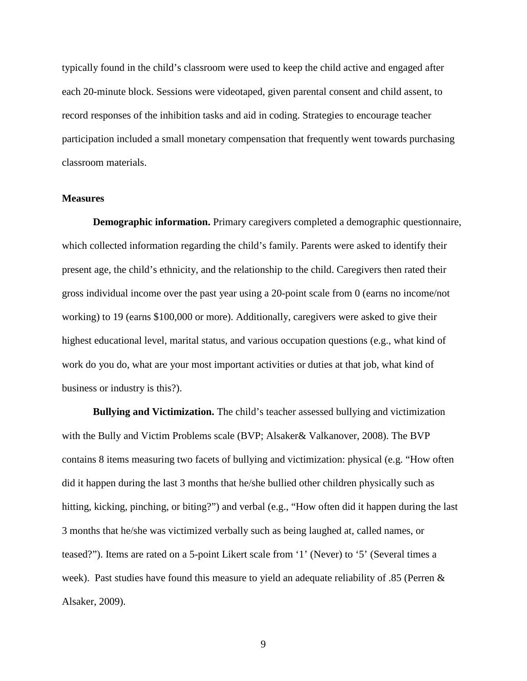typically found in the child's classroom were used to keep the child active and engaged after each 20-minute block. Sessions were videotaped, given parental consent and child assent, to record responses of the inhibition tasks and aid in coding. Strategies to encourage teacher participation included a small monetary compensation that frequently went towards purchasing classroom materials.

#### **Measures**

**Demographic information.** Primary caregivers completed a demographic questionnaire, which collected information regarding the child's family. Parents were asked to identify their present age, the child's ethnicity, and the relationship to the child. Caregivers then rated their gross individual income over the past year using a 20-point scale from 0 (earns no income/not working) to 19 (earns \$100,000 or more). Additionally, caregivers were asked to give their highest educational level, marital status, and various occupation questions (e.g., what kind of work do you do, what are your most important activities or duties at that job, what kind of business or industry is this?).

 **Bullying and Victimization.** The child's teacher assessed bullying and victimization with the Bully and Victim Problems scale (BVP; Alsaker& Valkanover, 2008). The BVP contains 8 items measuring two facets of bullying and victimization: physical (e.g. "How often did it happen during the last 3 months that he/she bullied other children physically such as hitting, kicking, pinching, or biting?") and verbal (e.g., "How often did it happen during the last 3 months that he/she was victimized verbally such as being laughed at, called names, or teased?"). Items are rated on a 5-point Likert scale from '1' (Never) to '5' (Several times a week). Past studies have found this measure to yield an adequate reliability of .85 (Perren & Alsaker, 2009).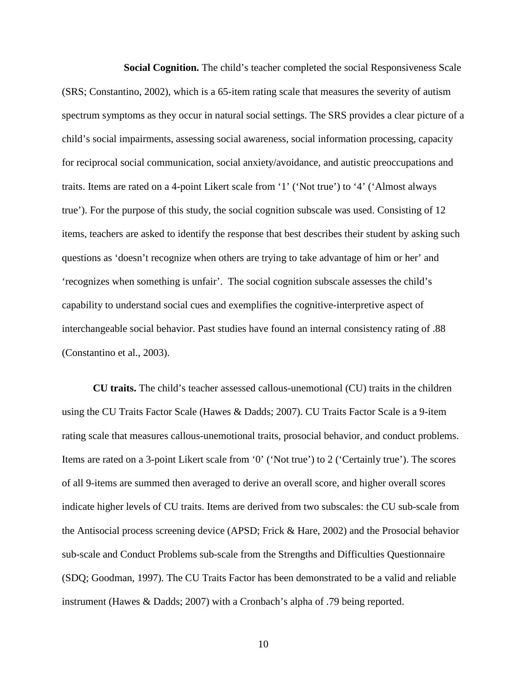**Social Cognition.** The child's teacher completed the social Responsiveness Scale (SRS; Constantino, 2002), which is a 65-item rating scale that measures the severity of autism spectrum symptoms as they occur in natural social settings. The SRS provides a clear picture of a child's social impairments, assessing social awareness, social information processing, capacity for reciprocal social communication, social anxiety/avoidance, and autistic preoccupations and traits. Items are rated on a 4-point Likert scale from '1' ('Not true') to '4' ('Almost always true'). For the purpose of this study, the social cognition subscale was used. Consisting of 12 items, teachers are asked to identify the response that best describes their student by asking such questions as 'doesn't recognize when others are trying to take advantage of him or her' and 'recognizes when something is unfair'. The social cognition subscale assesses the child's capability to understand social cues and exemplifies the cognitive-interpretive aspect of interchangeable social behavior. Past studies have found an internal consistency rating of .88 (Constantino et al., 2003).

 **CU traits.** The child's teacher assessed callous-unemotional (CU) traits in the children using the CU Traits Factor Scale (Hawes & Dadds; 2007). CU Traits Factor Scale is a 9-item rating scale that measures callous-unemotional traits, prosocial behavior, and conduct problems. Items are rated on a 3-point Likert scale from '0' ('Not true') to 2 ('Certainly true'). The scores of all 9-items are summed then averaged to derive an overall score, and higher overall scores indicate higher levels of CU traits. Items are derived from two subscales: the CU sub-scale from the Antisocial process screening device (APSD; Frick & Hare, 2002) and the Prosocial behavior sub-scale and Conduct Problems sub-scale from the Strengths and Difficulties Questionnaire (SDQ; Goodman, 1997). The CU Traits Factor has been demonstrated to be a valid and reliable instrument (Hawes & Dadds; 2007) with a Cronbach's alpha of .79 being reported.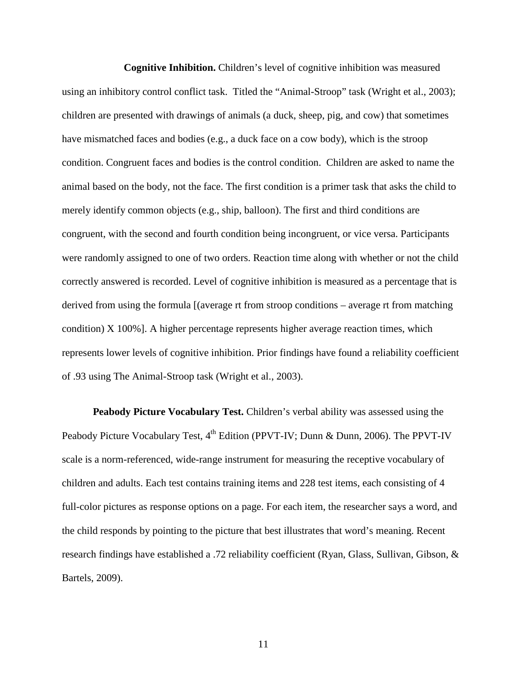**Cognitive Inhibition.** Children's level of cognitive inhibition was measured using an inhibitory control conflict task. Titled the "Animal-Stroop" task (Wright et al., 2003); children are presented with drawings of animals (a duck, sheep, pig, and cow) that sometimes have mismatched faces and bodies (e.g., a duck face on a cow body), which is the stroop condition. Congruent faces and bodies is the control condition. Children are asked to name the animal based on the body, not the face. The first condition is a primer task that asks the child to merely identify common objects (e.g., ship, balloon). The first and third conditions are congruent, with the second and fourth condition being incongruent, or vice versa. Participants were randomly assigned to one of two orders. Reaction time along with whether or not the child correctly answered is recorded. Level of cognitive inhibition is measured as a percentage that is derived from using the formula [(average rt from stroop conditions – average rt from matching condition) X 100%]. A higher percentage represents higher average reaction times, which represents lower levels of cognitive inhibition. Prior findings have found a reliability coefficient of .93 using The Animal-Stroop task (Wright et al., 2003).

**Peabody Picture Vocabulary Test.** Children's verbal ability was assessed using the Peabody Picture Vocabulary Test, 4<sup>th</sup> Edition (PPVT-IV; Dunn & Dunn, 2006). The PPVT-IV scale is a norm-referenced, wide-range instrument for measuring the receptive vocabulary of children and adults. Each test contains training items and 228 test items, each consisting of 4 full-color pictures as response options on a page. For each item, the researcher says a word, and the child responds by pointing to the picture that best illustrates that word's meaning. Recent research findings have established a .72 reliability coefficient (Ryan, Glass, Sullivan, Gibson, & Bartels, 2009).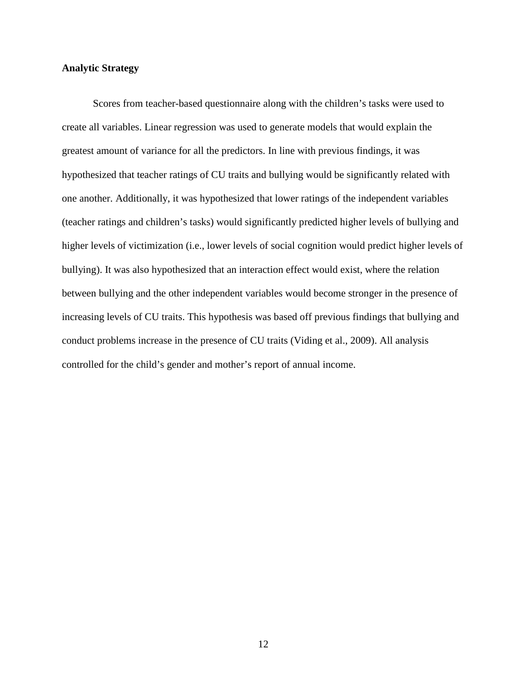#### **Analytic Strategy**

 Scores from teacher-based questionnaire along with the children's tasks were used to create all variables. Linear regression was used to generate models that would explain the greatest amount of variance for all the predictors. In line with previous findings, it was hypothesized that teacher ratings of CU traits and bullying would be significantly related with one another. Additionally, it was hypothesized that lower ratings of the independent variables (teacher ratings and children's tasks) would significantly predicted higher levels of bullying and higher levels of victimization (i.e., lower levels of social cognition would predict higher levels of bullying). It was also hypothesized that an interaction effect would exist, where the relation between bullying and the other independent variables would become stronger in the presence of increasing levels of CU traits. This hypothesis was based off previous findings that bullying and conduct problems increase in the presence of CU traits (Viding et al., 2009). All analysis controlled for the child's gender and mother's report of annual income.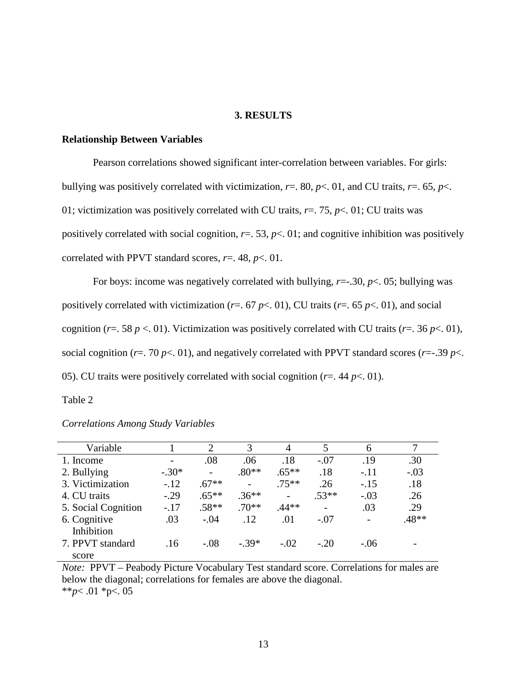#### **3. RESULTS**

#### **Relationship Between Variables**

Pearson correlations showed significant inter-correlation between variables. For girls: bullying was positively correlated with victimization,  $r = 0.80$ ,  $p < 0.01$ , and CU traits,  $r = 0.65$ ,  $p < 0.01$ 01; victimization was positively correlated with CU traits, *r*=. 75, *p*<. 01; CU traits was positively correlated with social cognition,  $r = 0.53$ ,  $p < 0.01$ ; and cognitive inhibition was positively correlated with PPVT standard scores, *r*=. 48, *p*<. 01.

 For boys: income was negatively correlated with bullying, *r*=-.30, *p*<. 05; bullying was positively correlated with victimization ( $r = .67 \, \text{p} < .01$ ), CU traits ( $r = .65 \, \text{p} < .01$ ), and social cognition ( $r = 58$   $p < 01$ ). Victimization was positively correlated with CU traits ( $r = 36$   $p < 01$ ), social cognition ( $r = 0$ ,  $p < 01$ ), and negatively correlated with PPVT standard scores ( $r = 0.39$   $p < 0.1$ ). 05). CU traits were positively correlated with social cognition ( $r = 0.44 \, \text{p} < 0.01$ ).

Table 2

| Variable            |         | $\overline{2}$           | 3       | 4       | 5                        | 6      |         |
|---------------------|---------|--------------------------|---------|---------|--------------------------|--------|---------|
| 1. Income           |         | .08                      | .06     | .18     | $-.07$                   | .19    | .30     |
| 2. Bullying         | $-.30*$ | $\overline{\phantom{0}}$ | $.80**$ | $.65**$ | .18                      | $-.11$ | $-.03$  |
| 3. Victimization    | $-.12$  | $.67**$                  |         | $.75**$ | .26                      | $-.15$ | .18     |
| 4. CU traits        | $-0.29$ | $.65***$                 | $.36**$ |         | $.53**$                  | $-.03$ | .26     |
| 5. Social Cognition | $-.17$  | $.58**$                  | $.70**$ | $.44**$ | $\overline{\phantom{0}}$ | .03    | .29     |
| 6. Cognitive        | .03     | $-.04$                   | .12     | .01     | $-.07$                   |        | $.48**$ |
| Inhibition          |         |                          |         |         |                          |        |         |
| 7. PPVT standard    | .16     | $-.08$                   | $-.39*$ | $-.02$  | $-.20$                   | $-.06$ |         |
| score               |         |                          |         |         |                          |        |         |

*Correlations Among Study Variables* 

*Note:* PPVT – Peabody Picture Vocabulary Test standard score. Correlations for males are below the diagonal; correlations for females are above the diagonal. \*\**p*< .01 \*p<. 05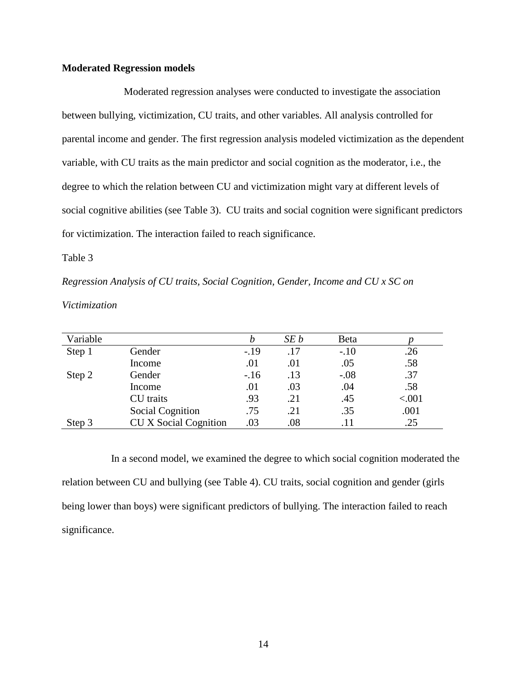### **Moderated Regression models**

 Moderated regression analyses were conducted to investigate the association between bullying, victimization, CU traits, and other variables. All analysis controlled for parental income and gender. The first regression analysis modeled victimization as the dependent variable, with CU traits as the main predictor and social cognition as the moderator, i.e., the degree to which the relation between CU and victimization might vary at different levels of social cognitive abilities (see Table 3). CU traits and social cognition were significant predictors for victimization. The interaction failed to reach significance.

Table 3

*Regression Analysis of CU traits, Social Cognition, Gender, Income and CU x SC on Victimization* 

| Variable |                              |        | SE b | Beta   |        |
|----------|------------------------------|--------|------|--------|--------|
| Step 1   | Gender                       | $-.19$ | .17  | $-.10$ | .26    |
|          | Income                       | .01    | .01  | .05    | .58    |
| Step 2   | Gender                       | $-.16$ | .13  | $-.08$ | .37    |
|          | Income                       | .01    | .03  | .04    | .58    |
|          | CU traits                    | .93    | .21  | .45    | < .001 |
|          | <b>Social Cognition</b>      | .75    | .21  | .35    | .001   |
| Step 3   | <b>CU X Social Cognition</b> | .03    | .08  | .11    | .25    |

 In a second model, we examined the degree to which social cognition moderated the relation between CU and bullying (see Table 4). CU traits, social cognition and gender (girls being lower than boys) were significant predictors of bullying. The interaction failed to reach significance.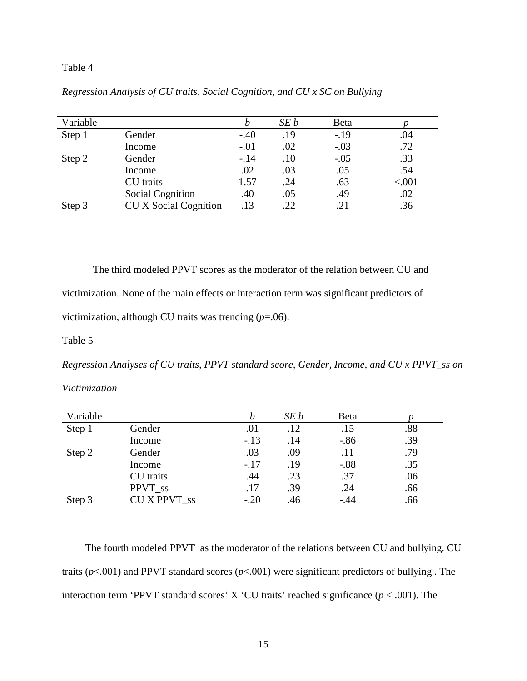## Table 4

| Variable |                              |        | SE b | Beta   |        |
|----------|------------------------------|--------|------|--------|--------|
| Step 1   | Gender                       | $-.40$ | .19  | $-.19$ | .04    |
|          | Income                       | $-.01$ | .02  | $-.03$ | .72    |
| Step 2   | Gender                       | $-.14$ | .10  | $-.05$ | .33    |
|          | Income                       | .02    | .03  | .05    | .54    |
|          | CU traits                    | 1.57   | .24  | .63    | < .001 |
|          | <b>Social Cognition</b>      | .40    | .05  | .49    | .02    |
| Step 3   | <b>CU X Social Cognition</b> | .13    | 22   | .21    | .36    |

*Regression Analysis of CU traits, Social Cognition, and CU x SC on Bullying* 

The third modeled PPVT scores as the moderator of the relation between CU and victimization. None of the main effects or interaction term was significant predictors of victimization, although CU traits was trending (*p*=.06).

Table 5

*Regression Analyses of CU traits, PPVT standard score, Gender, Income, and CU x PPVT\_ss on* 

*Victimization* 

| Variable |                   | n      | SEb | Beta   |     |
|----------|-------------------|--------|-----|--------|-----|
| Step 1   | Gender            | .01    | .12 | .15    | .88 |
|          | Income            | $-.13$ | .14 | $-.86$ | .39 |
| Step 2   | Gender            | .03    | .09 | .11    | .79 |
|          | Income            | $-.17$ | .19 | $-.88$ | .35 |
|          | CU traits         | .44    | .23 | .37    | .06 |
|          | PPVT_ss           | .17    | .39 | .24    | .66 |
| Step 3   | <b>CUXPPVT</b> ss | $-.20$ | .46 | -.44   | .66 |

 The fourth modeled PPVT as the moderator of the relations between CU and bullying. CU traits ( $p$ <.001) and PPVT standard scores ( $p$ <.001) were significant predictors of bullying . The interaction term 'PPVT standard scores' X 'CU traits' reached significance ( $p < .001$ ). The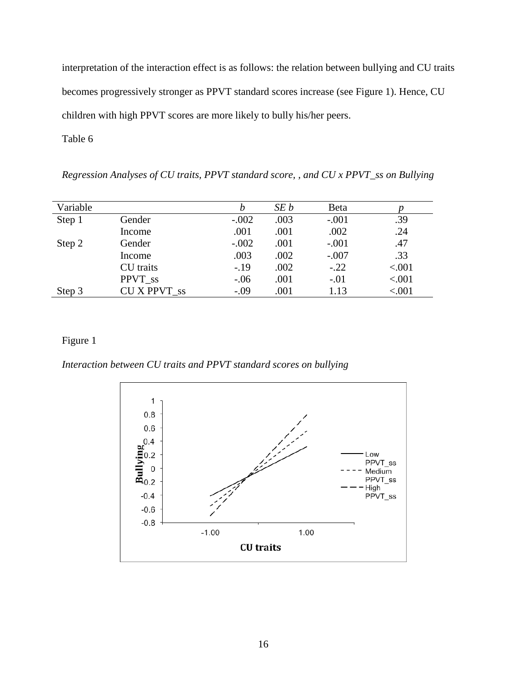interpretation of the interaction effect is as follows: the relation between bullying and CU traits becomes progressively stronger as PPVT standard scores increase (see Figure 1). Hence, CU children with high PPVT scores are more likely to bully his/her peers.

Table 6

*Regression Analyses of CU traits, PPVT standard score, , and CU x PPVT\_ss on Bullying* 

| Variable |                   |         | SE b | Beta    |         |
|----------|-------------------|---------|------|---------|---------|
| Step 1   | Gender            | $-.002$ | .003 | $-.001$ | .39     |
|          | Income            | .001    | .001 | .002    | .24     |
| Step 2   | Gender            | $-.002$ | .001 | $-.001$ | .47     |
|          | Income            | .003    | .002 | $-.007$ | .33     |
|          | CU traits         | $-.19$  | .002 | $-.22$  | < .001  |
|          | PPVT ss           | $-.06$  | .001 | $-.01$  | < .001  |
| Step 3   | <b>CUXPPVT</b> ss | $-.09$  | .001 | 1.13    | < 0.001 |

# Figure 1

*Interaction between CU traits and PPVT standard scores on bullying* 

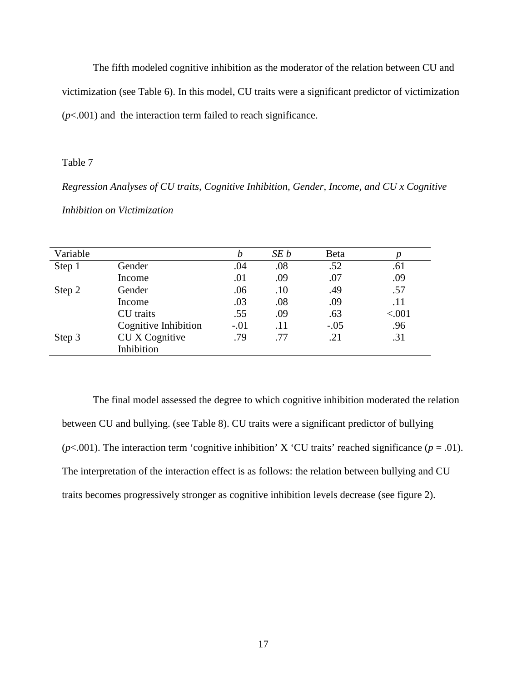The fifth modeled cognitive inhibition as the moderator of the relation between CU and victimization (see Table 6). In this model, CU traits were a significant predictor of victimization  $(p<.001)$  and the interaction term failed to reach significance.

### Table 7

*Regression Analyses of CU traits, Cognitive Inhibition, Gender, Income, and CU x Cognitive Inhibition on Victimization* 

| Variable |                      | b      | SE b | Beta   |        |
|----------|----------------------|--------|------|--------|--------|
| Step 1   | Gender               | .04    | .08  | .52    | .61    |
|          | Income               | .01    | .09  | .07    | .09    |
| Step 2   | Gender               | .06    | .10  | .49    | .57    |
|          | Income               | .03    | .08  | .09    | .11    |
|          | CU traits            | .55    | .09  | .63    | < .001 |
|          | Cognitive Inhibition | $-.01$ | .11  | $-.05$ | .96    |
| Step 3   | CU X Cognitive       | .79    | .77  | .21    | .31    |
|          | Inhibition           |        |      |        |        |
|          |                      |        |      |        |        |

The final model assessed the degree to which cognitive inhibition moderated the relation between CU and bullying. (see Table 8). CU traits were a significant predictor of bullying ( $p$ <.001). The interaction term 'cognitive inhibition' X 'CU traits' reached significance ( $p = .01$ ). The interpretation of the interaction effect is as follows: the relation between bullying and CU traits becomes progressively stronger as cognitive inhibition levels decrease (see figure 2).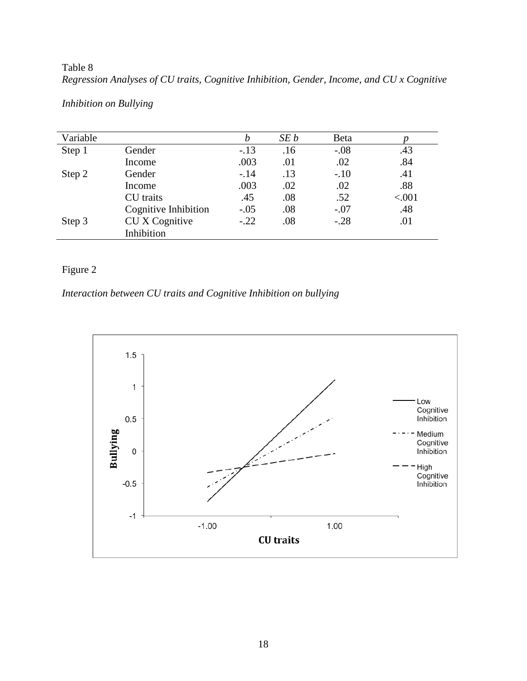Table 8 *Regression Analyses of CU traits, Cognitive Inhibition, Gender, Income, and CU x Cognitive* 

| Variable |                      | b      | SE b | Beta   |        |
|----------|----------------------|--------|------|--------|--------|
| Step 1   | Gender               | $-13$  | .16  | $-.08$ | .43    |
|          | Income               | .003   | .01  | .02    | .84    |
| Step 2   | Gender               | $-.14$ | .13  | $-.10$ | .41    |
|          | Income               | .003   | .02  | .02    | .88    |
|          | <b>CU</b> traits     | .45    | .08  | .52    | < .001 |
|          | Cognitive Inhibition | $-.05$ | .08  | $-.07$ | .48    |
| Step 3   | CU X Cognitive       | $-.22$ | .08  | $-.28$ | .01    |
|          | Inhibition           |        |      |        |        |

*Inhibition on Bullying* 

# Figure 2

# *Interaction between CU traits and Cognitive Inhibition on bullying*

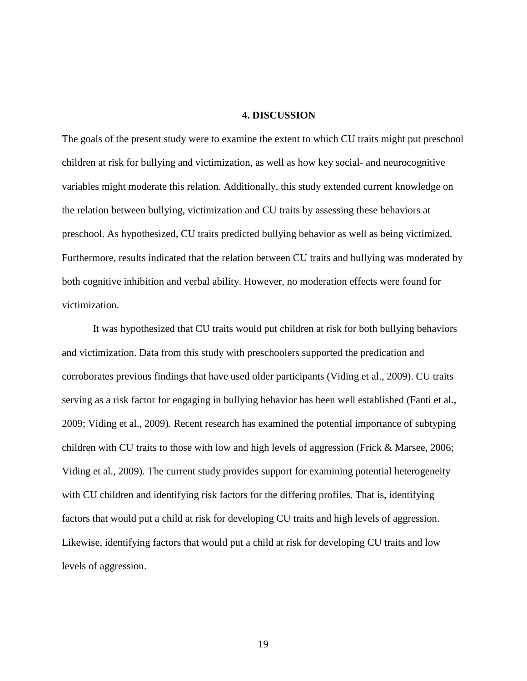### **4. DISCUSSION**

The goals of the present study were to examine the extent to which CU traits might put preschool children at risk for bullying and victimization, as well as how key social- and neurocognitive variables might moderate this relation. Additionally, this study extended current knowledge on the relation between bullying, victimization and CU traits by assessing these behaviors at preschool. As hypothesized, CU traits predicted bullying behavior as well as being victimized. Furthermore, results indicated that the relation between CU traits and bullying was moderated by both cognitive inhibition and verbal ability. However, no moderation effects were found for victimization.

 It was hypothesized that CU traits would put children at risk for both bullying behaviors and victimization. Data from this study with preschoolers supported the predication and corroborates previous findings that have used older participants (Viding et al., 2009). CU traits serving as a risk factor for engaging in bullying behavior has been well established (Fanti et al., 2009; Viding et al., 2009). Recent research has examined the potential importance of subtyping children with CU traits to those with low and high levels of aggression (Frick & Marsee, 2006; Viding et al., 2009). The current study provides support for examining potential heterogeneity with CU children and identifying risk factors for the differing profiles. That is, identifying factors that would put a child at risk for developing CU traits and high levels of aggression. Likewise, identifying factors that would put a child at risk for developing CU traits and low levels of aggression.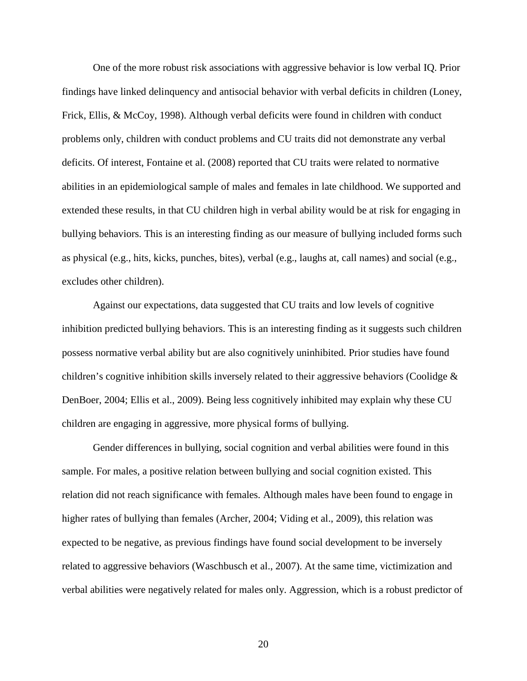One of the more robust risk associations with aggressive behavior is low verbal IQ. Prior findings have linked delinquency and antisocial behavior with verbal deficits in children (Loney, Frick, Ellis, & McCoy, 1998). Although verbal deficits were found in children with conduct problems only, children with conduct problems and CU traits did not demonstrate any verbal deficits. Of interest, Fontaine et al. (2008) reported that CU traits were related to normative abilities in an epidemiological sample of males and females in late childhood. We supported and extended these results, in that CU children high in verbal ability would be at risk for engaging in bullying behaviors. This is an interesting finding as our measure of bullying included forms such as physical (e.g., hits, kicks, punches, bites), verbal (e.g., laughs at, call names) and social (e.g., excludes other children).

 Against our expectations, data suggested that CU traits and low levels of cognitive inhibition predicted bullying behaviors. This is an interesting finding as it suggests such children possess normative verbal ability but are also cognitively uninhibited. Prior studies have found children's cognitive inhibition skills inversely related to their aggressive behaviors (Coolidge  $\&$ DenBoer, 2004; Ellis et al., 2009). Being less cognitively inhibited may explain why these CU children are engaging in aggressive, more physical forms of bullying.

 Gender differences in bullying, social cognition and verbal abilities were found in this sample. For males, a positive relation between bullying and social cognition existed. This relation did not reach significance with females. Although males have been found to engage in higher rates of bullying than females (Archer, 2004; Viding et al., 2009), this relation was expected to be negative, as previous findings have found social development to be inversely related to aggressive behaviors (Waschbusch et al., 2007). At the same time, victimization and verbal abilities were negatively related for males only. Aggression, which is a robust predictor of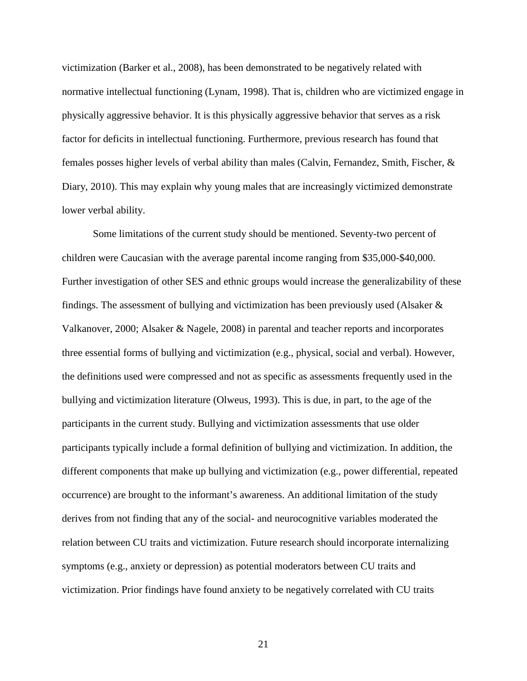victimization (Barker et al., 2008), has been demonstrated to be negatively related with normative intellectual functioning (Lynam, 1998). That is, children who are victimized engage in physically aggressive behavior. It is this physically aggressive behavior that serves as a risk factor for deficits in intellectual functioning. Furthermore, previous research has found that females posses higher levels of verbal ability than males (Calvin, Fernandez, Smith, Fischer, & Diary, 2010). This may explain why young males that are increasingly victimized demonstrate lower verbal ability.

 Some limitations of the current study should be mentioned. Seventy-two percent of children were Caucasian with the average parental income ranging from \$35,000-\$40,000. Further investigation of other SES and ethnic groups would increase the generalizability of these findings. The assessment of bullying and victimization has been previously used (Alsaker & Valkanover, 2000; Alsaker & Nagele, 2008) in parental and teacher reports and incorporates three essential forms of bullying and victimization (e.g., physical, social and verbal). However, the definitions used were compressed and not as specific as assessments frequently used in the bullying and victimization literature (Olweus, 1993). This is due, in part, to the age of the participants in the current study. Bullying and victimization assessments that use older participants typically include a formal definition of bullying and victimization. In addition, the different components that make up bullying and victimization (e.g., power differential, repeated occurrence) are brought to the informant's awareness. An additional limitation of the study derives from not finding that any of the social- and neurocognitive variables moderated the relation between CU traits and victimization. Future research should incorporate internalizing symptoms (e.g., anxiety or depression) as potential moderators between CU traits and victimization. Prior findings have found anxiety to be negatively correlated with CU traits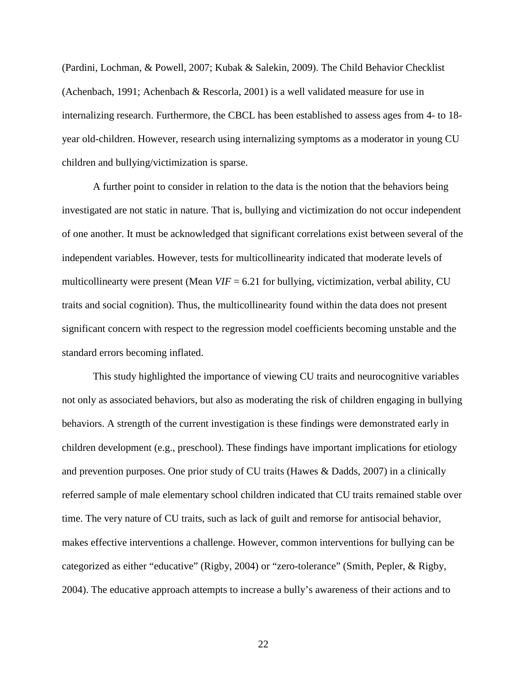(Pardini, Lochman, & Powell, 2007; Kubak & Salekin, 2009). The Child Behavior Checklist (Achenbach, 1991; Achenbach & Rescorla, 2001) is a well validated measure for use in internalizing research. Furthermore, the CBCL has been established to assess ages from 4- to 18 year old-children. However, research using internalizing symptoms as a moderator in young CU children and bullying/victimization is sparse.

 A further point to consider in relation to the data is the notion that the behaviors being investigated are not static in nature. That is, bullying and victimization do not occur independent of one another. It must be acknowledged that significant correlations exist between several of the independent variables. However, tests for multicollinearity indicated that moderate levels of multicollinearty were present (Mean *VIF* = 6.21 for bullying, victimization, verbal ability, CU traits and social cognition). Thus, the multicollinearity found within the data does not present significant concern with respect to the regression model coefficients becoming unstable and the standard errors becoming inflated.

 This study highlighted the importance of viewing CU traits and neurocognitive variables not only as associated behaviors, but also as moderating the risk of children engaging in bullying behaviors. A strength of the current investigation is these findings were demonstrated early in children development (e.g., preschool). These findings have important implications for etiology and prevention purposes. One prior study of CU traits (Hawes & Dadds, 2007) in a clinically referred sample of male elementary school children indicated that CU traits remained stable over time. The very nature of CU traits, such as lack of guilt and remorse for antisocial behavior, makes effective interventions a challenge. However, common interventions for bullying can be categorized as either "educative" (Rigby, 2004) or "zero-tolerance" (Smith, Pepler, & Rigby, 2004). The educative approach attempts to increase a bully's awareness of their actions and to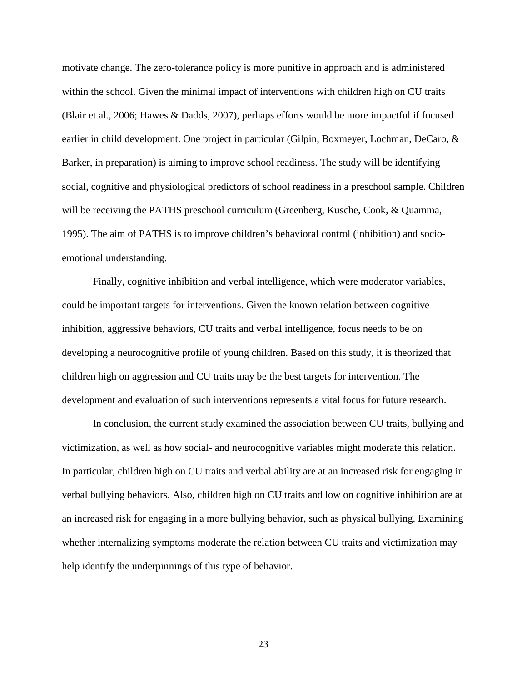motivate change. The zero-tolerance policy is more punitive in approach and is administered within the school. Given the minimal impact of interventions with children high on CU traits (Blair et al., 2006; Hawes & Dadds, 2007), perhaps efforts would be more impactful if focused earlier in child development. One project in particular (Gilpin, Boxmeyer, Lochman, DeCaro, & Barker, in preparation) is aiming to improve school readiness. The study will be identifying social, cognitive and physiological predictors of school readiness in a preschool sample. Children will be receiving the PATHS preschool curriculum (Greenberg, Kusche, Cook, & Quamma, 1995). The aim of PATHS is to improve children's behavioral control (inhibition) and socioemotional understanding.

 Finally, cognitive inhibition and verbal intelligence, which were moderator variables, could be important targets for interventions. Given the known relation between cognitive inhibition, aggressive behaviors, CU traits and verbal intelligence, focus needs to be on developing a neurocognitive profile of young children. Based on this study, it is theorized that children high on aggression and CU traits may be the best targets for intervention. The development and evaluation of such interventions represents a vital focus for future research.

 In conclusion, the current study examined the association between CU traits, bullying and victimization, as well as how social- and neurocognitive variables might moderate this relation. In particular, children high on CU traits and verbal ability are at an increased risk for engaging in verbal bullying behaviors. Also, children high on CU traits and low on cognitive inhibition are at an increased risk for engaging in a more bullying behavior, such as physical bullying. Examining whether internalizing symptoms moderate the relation between CU traits and victimization may help identify the underpinnings of this type of behavior.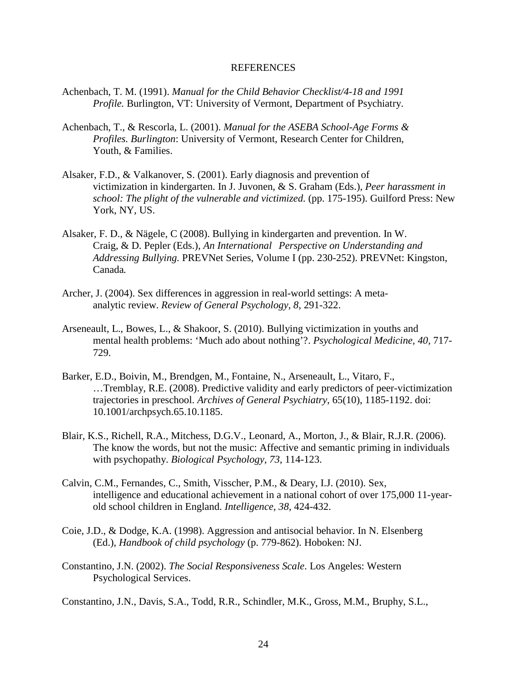#### REFERENCES

- Achenbach, T. M. (1991). *Manual for the Child Behavior Checklist/4-18 and 1991 Profile.* Burlington, VT: University of Vermont, Department of Psychiatry.
- Achenbach, T., & Rescorla, L. (2001). *Manual for the ASEBA School-Age Forms & Profiles. Burlington*: University of Vermont, Research Center for Children, Youth, & Families.
- Alsaker, F.D., & Valkanover, S. (2001). Early diagnosis and prevention of victimization in kindergarten. In J. Juvonen, & S. Graham (Eds.), *Peer harassment in school: The plight of the vulnerable and victimized.* (pp. 175-195). Guilford Press: New York, NY, US.
- Alsaker, F. D., & Nägele, C (2008). Bullying in kindergarten and prevention. In W. Craig, & D. Pepler (Eds.), *An International Perspective on Understanding and Addressing Bullying.* PREVNet Series, Volume I (pp. 230-252). PREVNet: Kingston, Canada*.*
- Archer, J. (2004). Sex differences in aggression in real-world settings: A metaanalytic review. *Review of General Psychology, 8,* 291-322.
- Arseneault, L., Bowes, L., & Shakoor, S. (2010). Bullying victimization in youths and mental health problems: 'Much ado about nothing'?. *Psychological Medicine, 40,* 717- 729.
- Barker, E.D., Boivin, M., Brendgen, M., Fontaine, N., Arseneault, L., Vitaro, F., …Tremblay, R.E. (2008). Predictive validity and early predictors of peer-victimization trajectories in preschool. *Archives of General Psychiatry*, 65(10), 1185-1192. doi: 10.1001/archpsych.65.10.1185.
- Blair, K.S., Richell, R.A., Mitchess, D.G.V., Leonard, A., Morton, J., & Blair, R.J.R. (2006). The know the words, but not the music: Affective and semantic priming in individuals with psychopathy. *Biological Psychology, 73,* 114-123.
- Calvin, C.M., Fernandes, C., Smith, Visscher, P.M., & Deary, I.J. (2010). Sex, intelligence and educational achievement in a national cohort of over 175,000 11-yearold school children in England. *Intelligence, 38,* 424-432.
- Coie, J.D., & Dodge, K.A. (1998). Aggression and antisocial behavior. In N. Elsenberg (Ed.), *Handbook of child psychology* (p. 779-862). Hoboken: NJ.
- Constantino, J.N. (2002). *The Social Responsiveness Scale*. Los Angeles: Western Psychological Services.
- Constantino, J.N., Davis, S.A., Todd, R.R., Schindler, M.K., Gross, M.M., Bruphy, S.L.,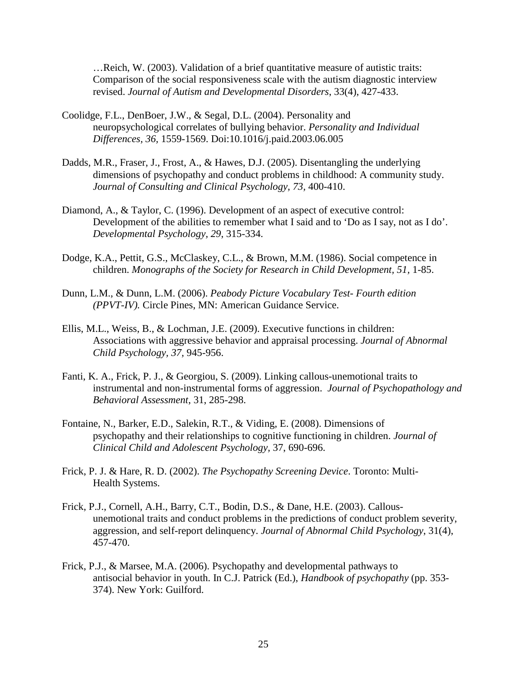…Reich, W. (2003). Validation of a brief quantitative measure of autistic traits: Comparison of the social responsiveness scale with the autism diagnostic interview revised. *Journal of Autism and Developmental Disorders*, 33(4), 427-433.

- Coolidge, F.L., DenBoer, J.W., & Segal, D.L. (2004). Personality and neuropsychological correlates of bullying behavior. *Personality and Individual Differences, 36,* 1559-1569. Doi:10.1016/j.paid.2003.06.005
- Dadds, M.R., Fraser, J., Frost, A., & Hawes, D.J. (2005). Disentangling the underlying dimensions of psychopathy and conduct problems in childhood: A community study. *Journal of Consulting and Clinical Psychology, 73,* 400-410.
- Diamond, A., & Taylor, C. (1996). Development of an aspect of executive control: Development of the abilities to remember what I said and to 'Do as I say, not as I do'. *Developmental Psychology, 29*, 315-334.
- Dodge, K.A., Pettit, G.S., McClaskey, C.L., & Brown, M.M. (1986). Social competence in children. *Monographs of the Society for Research in Child Development, 51, 1-85.*
- Dunn, L.M., & Dunn, L.M. (2006). *Peabody Picture Vocabulary Test- Fourth edition (PPVT-IV).* Circle Pines, MN: American Guidance Service.
- Ellis, M.L., Weiss, B., & Lochman, J.E. (2009). Executive functions in children: Associations with aggressive behavior and appraisal processing. *Journal of Abnormal Child Psychology, 37,* 945-956.
- Fanti, K. A., Frick, P. J., & Georgiou, S. (2009). Linking callous-unemotional traits to instrumental and non-instrumental forms of aggression. *Journal of Psychopathology and Behavioral Assessment*, 31, 285-298.
- Fontaine, N., Barker, E.D., Salekin, R.T., & Viding, E. (2008). Dimensions of psychopathy and their relationships to cognitive functioning in children. *Journal of Clinical Child and Adolescent Psychology,* 37, 690-696.
- Frick, P. J. & Hare, R. D. (2002). *The Psychopathy Screening Device*. Toronto: Multi-Health Systems.
- Frick, P.J., Cornell, A.H., Barry, C.T., Bodin, D.S., & Dane, H.E. (2003). Callousunemotional traits and conduct problems in the predictions of conduct problem severity, aggression, and self-report delinquency. *Journal of Abnormal Child Psychology*, 31(4), 457-470.
- Frick, P.J., & Marsee, M.A. (2006). Psychopathy and developmental pathways to antisocial behavior in youth. In C.J. Patrick (Ed.), *Handbook of psychopathy* (pp. 353- 374). New York: Guilford.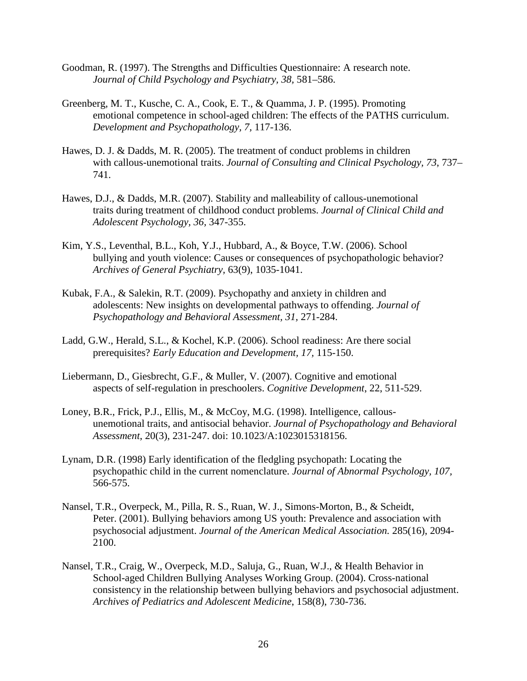- Goodman, R. (1997). The Strengths and Difficulties Questionnaire: A research note. *Journal of Child Psychology and Psychiatry, 38,* 581–586.
- Greenberg, M. T., Kusche, C. A., Cook, E. T., & Quamma, J. P. (1995). Promoting emotional competence in school-aged children: The effects of the PATHS curriculum. *Development and Psychopathology, 7,* 117-136.
- Hawes, D. J. & Dadds, M. R. (2005). The treatment of conduct problems in children with callous-unemotional traits. *Journal of Consulting and Clinical Psychology, 73*, 737– 741.
- Hawes, D.J., & Dadds, M.R. (2007). Stability and malleability of callous-unemotional traits during treatment of childhood conduct problems. *Journal of Clinical Child and Adolescent Psychology, 36,* 347-355.
- Kim, Y.S., Leventhal, B.L., Koh, Y.J., Hubbard, A., & Boyce, T.W. (2006). School bullying and youth violence: Causes or consequences of psychopathologic behavior? *Archives of General Psychiatry,* 63(9), 1035-1041.
- Kubak, F.A., & Salekin, R.T. (2009). Psychopathy and anxiety in children and adolescents: New insights on developmental pathways to offending. *Journal of Psychopathology and Behavioral Assessment, 31,* 271-284.
- Ladd, G.W., Herald, S.L., & Kochel, K.P. (2006). School readiness: Are there social prerequisites? *Early Education and Development, 17,* 115-150.
- Liebermann, D., Giesbrecht, G.F., & Muller, V. (2007). Cognitive and emotional aspects of self-regulation in preschoolers. *Cognitive Development*, 22, 511-529.
- Loney, B.R., Frick, P.J., Ellis, M., & McCoy, M.G. (1998). Intelligence, callousunemotional traits, and antisocial behavior. *Journal of Psychopathology and Behavioral Assessment*, 20(3), 231-247. doi: 10.1023/A:1023015318156.
- Lynam, D.R. (1998) Early identification of the fledgling psychopath: Locating the psychopathic child in the current nomenclature. *Journal of Abnormal Psychology, 107,* 566-575.
- Nansel, T.R., Overpeck, M., Pilla, R. S., Ruan, W. J., Simons-Morton, B., & Scheidt, Peter. (2001). Bullying behaviors among US youth: Prevalence and association with psychosocial adjustment. *Journal of the American Medical Association.* 285(16), 2094- 2100.
- Nansel, T.R., Craig, W., Overpeck, M.D., Saluja, G., Ruan, W.J., & Health Behavior in School-aged Children Bullying Analyses Working Group. (2004). Cross-national consistency in the relationship between bullying behaviors and psychosocial adjustment. *Archives of Pediatrics and Adolescent Medicine*, 158(8), 730-736.